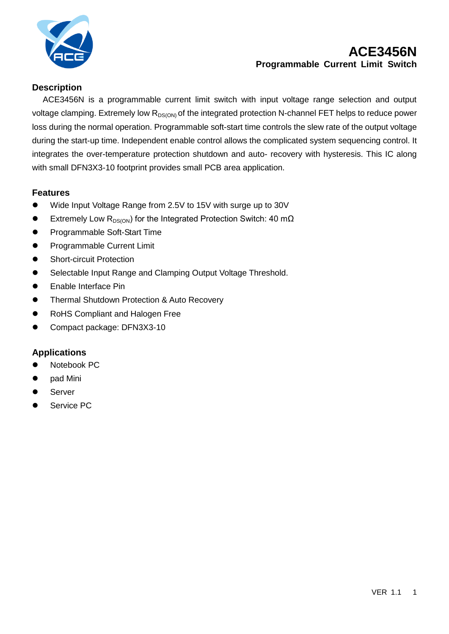

# **ACE3456N Programmable Current Limit Switch**

## **Description**

ACE3456N is a programmable current limit switch with input voltage range selection and output voltage clamping. Extremely low  $R_{DS(ON)}$  of the integrated protection N-channel FET helps to reduce power loss during the normal operation. Programmable soft-start time controls the slew rate of the output voltage during the start-up time. Independent enable control allows the complicated system sequencing control. It integrates the over-temperature protection shutdown and auto- recovery with hysteresis. This IC along with small DFN3X3-10 footprint provides small PCB area application.

#### **Features**

- Wide Input Voltage Range from 2.5V to 15V with surge up to 30V
- Extremely Low R<sub>DS(ON</sub>) for the Integrated Protection Switch: 40 m $\Omega$
- **•** Programmable Soft-Start Time
- **•** Programmable Current Limit
- **•** Short-circuit Protection
- Selectable Input Range and Clamping Output Voltage Threshold.
- **•** Enable Interface Pin
- **Thermal Shutdown Protection & Auto Recovery**
- RoHS Compliant and Halogen Free
- Compact package: DFN3X3-10

## **Applications**

- Notebook PC
- pad Mini
- Server
- Service PC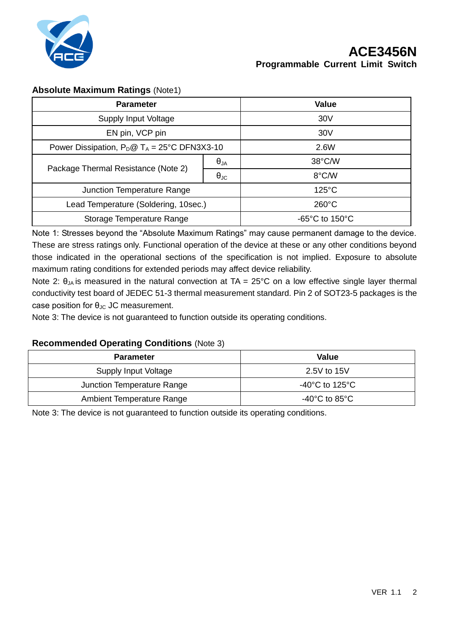

## **Absolute Maximum Ratings** (Note1)

| <b>Parameter</b>                                       |                      | <b>Value</b>                        |
|--------------------------------------------------------|----------------------|-------------------------------------|
| <b>Supply Input Voltage</b>                            |                      | 30 <sub>V</sub>                     |
| EN pin, VCP pin                                        |                      | 30V                                 |
| Power Dissipation, $P_D @ T_A = 25^{\circ}C$ DFN3X3-10 |                      | 2.6W                                |
| Package Thermal Resistance (Note 2)                    | $\Theta_{JA}$        | 38°C/W                              |
|                                                        | $\Theta_{\text{JC}}$ | 8°C/W                               |
| Junction Temperature Range                             |                      | $125^{\circ}$ C                     |
| Lead Temperature (Soldering, 10sec.)                   |                      | $260^{\circ}$ C                     |
| Storage Temperature Range                              |                      | $-65^{\circ}$ C to 150 $^{\circ}$ C |

Note 1: Stresses beyond the "Absolute Maximum Ratings" may cause permanent damage to the device. These are stress ratings only. Functional operation of the device at these or any other conditions beyond those indicated in the operational sections of the specification is not implied. Exposure to absolute maximum rating conditions for extended periods may affect device reliability.

Note 2:  $\theta_{JA}$  is measured in the natural convection at TA = 25°C on a low effective single layer thermal conductivity test board of JEDEC 51-3 thermal measurement standard. Pin 2 of SOT23-5 packages is the case position for  $\theta_{\text{JC}}$  JC measurement.

Note 3: The device is not guaranteed to function outside its operating conditions.

#### **Recommended Operating Conditions** (Note 3)

| <b>Parameter</b>           | <b>Value</b>                         |
|----------------------------|--------------------------------------|
| Supply Input Voltage       | 2.5V to 15V                          |
| Junction Temperature Range | -40 $^{\circ}$ C to 125 $^{\circ}$ C |
| Ambient Temperature Range  | -40°C to 85°C                        |

Note 3: The device is not guaranteed to function outside its operating conditions.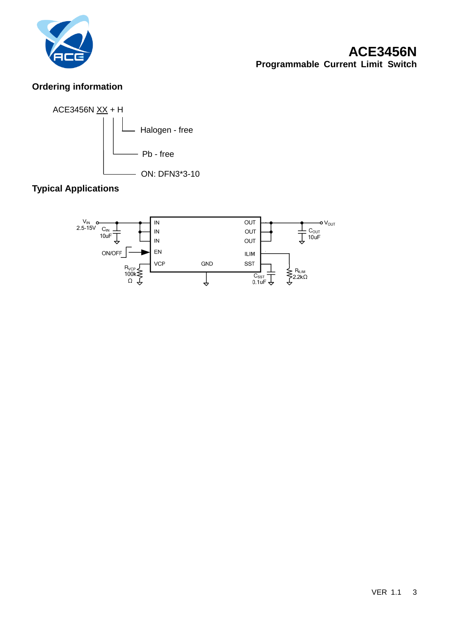

# **ACE3456N Programmable Current Limit Switch**

## **Ordering information**



# **Typical Applications**